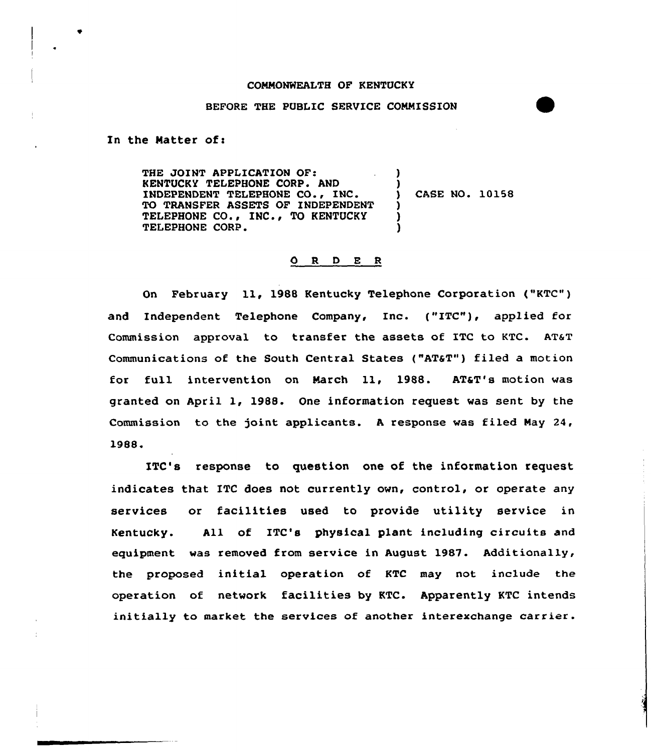## COMMONWEALTH OF KENTUCKY

## BEFORE THE PUBLIC SERVICE COMMISSION

In the Matter of:

THE JOINT APPLICATION OF: KENTUCKY TELEPHONE CORP. AND INDEPENDENT TELEPHONE CO., INC. TO TRANSFER ASSETS OF INDEPENDENT TELEPHONE CO., INC., TO KENTUCKY TELEPHONE CORP. ) ) ) CASE NO. 10158 ) ) )

## 6 <sup>R</sup> <sup>D</sup> E <sup>R</sup>

On February ll, <sup>1988</sup> Kentucky Telephone Corporation ("KTC") and Independent Telephone Company, Inc. ("ITC"), applied for Commission approval to transfer the assets of ITC to KTC. AT&T Communications of the South Central States ("AT&T") filed a motion for full intervention on March 11, 1988. AT&T's motion was granted on April 1, 1988. One information request was sent by the Commission to the joint applicants. <sup>A</sup> response was filed Nay 24, 1988.

ITC's response to question one of the information request indicates that ITC does not currently own, control, or operate any services or facilities used to provide utility service in Kentucky. All of ITC's physical plant including circuits and equipment was removed from service in August 1987. Additionally, the proposed initial operation of KTC may not include the operation of network facilities by KTC. Apparently KTC intends initially to market the services of another interexchange carrier.